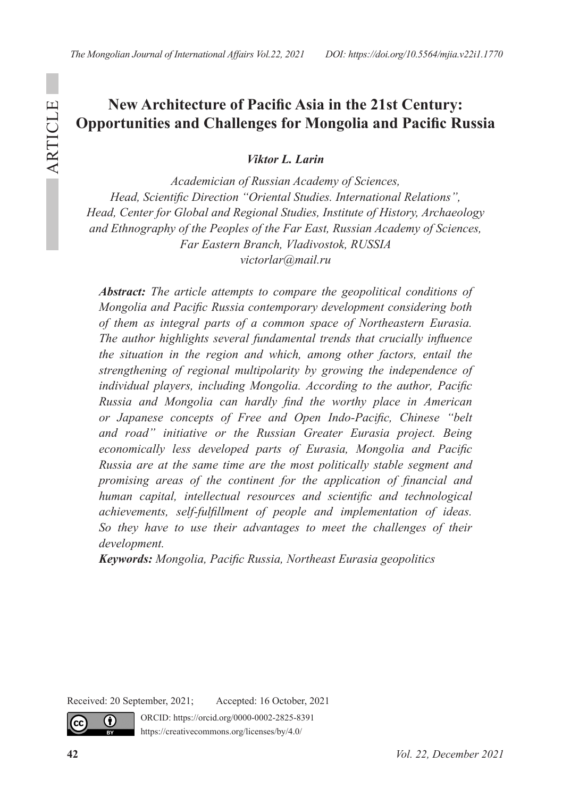# **New Architecture of Pacific Asia in the 21st Century: Opportunities and Challenges for Mongolia and Pacific Russia**

*Viktor L. Larin*

*Academician of Russian Academy of Sciences, Head, Scientific Direction "Oriental Studies. International Relations", Head, Center for Global and Regional Studies, Institute of History, Archaeology and Ethnography of the Peoples of the Far East, Russian Academy of Sciences, Far Eastern Branch, Vladivostok, RUSSIA victorlar@mail.ru*

*Abstract: The article attempts to compare the geopolitical conditions of Mongolia and Pacific Russia contemporary development considering both of them as integral parts of a common space of Northeastern Eurasia. The author highlights several fundamental trends that crucially influence the situation in the region and which, among other factors, entail the strengthening of regional multipolarity by growing the independence of individual players, including Mongolia. According to the author, Pacific Russia and Mongolia can hardly find the worthy place in American or Japanese concepts of Free and Open Indo-Pacific, Chinese "belt and road" initiative or the Russian Greater Eurasia project. Being economically less developed parts of Eurasia, Mongolia and Pacific Russia are at the same time are the most politically stable segment and promising areas of the continent for the application of financial and human capital, intellectual resources and scientific and technological achievements, self-fulfillment of people and implementation of ideas. So they have to use their advantages to meet the challenges of their development.* 

*Keywords: Mongolia, Pacific Russia, Northeast Eurasia geopolitics*

Received: 20 September, 2021; Accepted: 16 October, 2021

ORCID: https://orcid.org/0000-0002-2825-8391 https://creativecommons.org/licenses/by/4.0/



 $\bf{r}$ 

ARTICLE

ARTICLE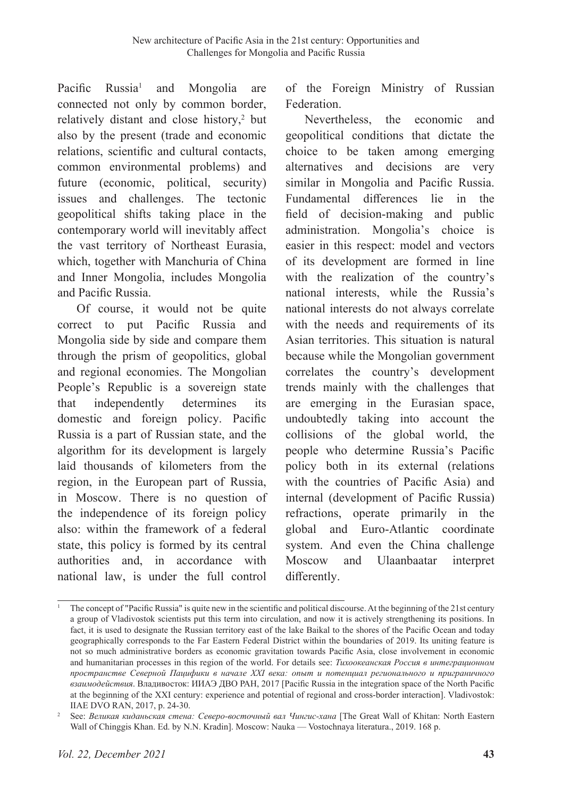Pacific Russia<sup>1</sup> and Mongolia are connected not only by common border, relatively distant and close history,<sup>2</sup> but also by the present (trade and economic relations, scientific and cultural contacts, common environmental problems) and future (economic, political, security) issues and challenges. The tectonic geopolitical shifts taking place in the contemporary world will inevitably affect the vast territory of Northeast Eurasia, which, together with Manchuria of China and Inner Mongolia, includes Mongolia and Pacific Russia.

Of course, it would not be quite correct to put Pacific Russia and Mongolia side by side and compare them through the prism of geopolitics, global and regional economies. The Mongolian People's Republic is a sovereign state that independently determines its domestic and foreign policy. Pacific Russia is a part of Russian state, and the algorithm for its development is largely laid thousands of kilometers from the region, in the European part of Russia, in Moscow. There is no question of the independence of its foreign policy also: within the framework of a federal state, this policy is formed by its central authorities and, in accordance with national law, is under the full control of the Foreign Ministry of Russian Federation.

Nevertheless, the economic and geopolitical conditions that dictate the choice to be taken among emerging alternatives and decisions are very similar in Mongolia and Pacific Russia. Fundamental differences lie in the field of decision-making and public administration. Mongolia's choice is easier in this respect: model and vectors of its development are formed in line with the realization of the country's national interests, while the Russia's national interests do not always correlate with the needs and requirements of its Asian territories. This situation is natural because while the Mongolian government correlates the country's development trends mainly with the challenges that are emerging in the Eurasian space, undoubtedly taking into account the collisions of the global world, the people who determine Russia's Pacific policy both in its external (relations with the countries of Pacific Asia) and internal (development of Pacific Russia) refractions, operate primarily in the global and Euro-Atlantic coordinate system. And even the China challenge Moscow and Ulaanbaatar interpret differently.

<sup>1</sup> The concept of "Pacific Russia" is quite new in the scientific and political discourse. At the beginning of the 21st century a group of Vladivostok scientists put this term into circulation, and now it is actively strengthening its positions. In fact, it is used to designate the Russian territory east of the lake Baikal to the shores of the Pacific Ocean and today geographically corresponds to the Far Eastern Federal District within the boundaries of 2019. Its uniting feature is not so much administrative borders as economic gravitation towards Pacific Asia, close involvement in economic and humanitarian processes in this region of the world. For details see: *Тихоокеанская Россия в интеграционном пространстве Северной Пацифики в начале XXI века: опыт и потенциал регионального и приграничного взаимодействия*. Владивосток: ИИАЭ ДВО РАН, 2017 [Pacific Russia in the integration space of the North Pacific at the beginning of the XXI century: experience and potential of regional and cross-border interaction]. Vladivostok: IIAE DVO RAN, 2017, p. 24-30.

<sup>2</sup> See: *Великая киданьская стена: Северо-восточный вал Чингис-хана* [The Great Wall of Khitan: North Eastern Wall of Chinggis Khan. Ed. by N.N. Kradin]. Мoscow: Nauka — Vostochnaya literatura., 2019. 168 p.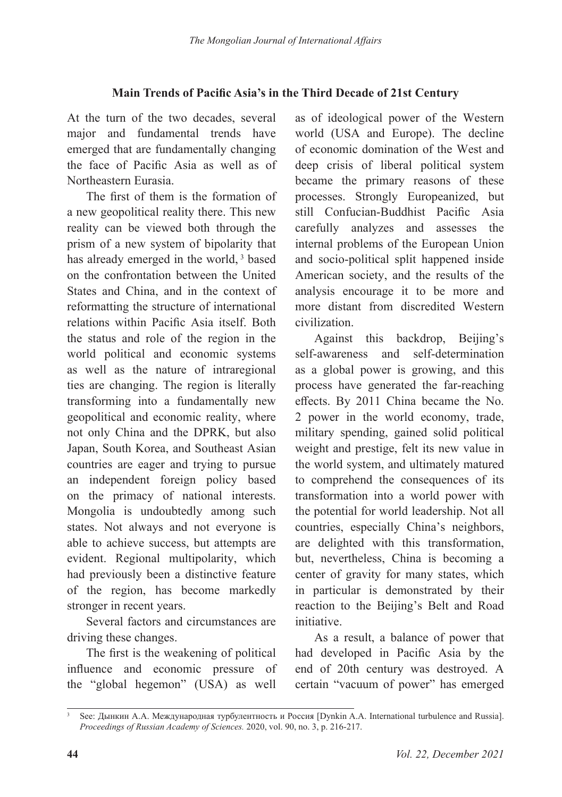## **Main Trends of Pacific Asia's in the Third Decade of 21st Century**

At the turn of the two decades, several major and fundamental trends have emerged that are fundamentally changing the face of Pacific Asia as well as of Northeastern Eurasia.

The first of them is the formation of a new geopolitical reality there. This new reality can be viewed both through the prism of a new system of bipolarity that has already emerged in the world,<sup>3</sup> based on the confrontation between the United States and China, and in the context of reformatting the structure of international relations within Pacific Asia itself. Both the status and role of the region in the world political and economic systems as well as the nature of intraregional ties are changing. The region is literally transforming into a fundamentally new geopolitical and economic reality, where not only China and the DPRK, but also Japan, South Korea, and Southeast Asian countries are eager and trying to pursue an independent foreign policy based on the primacy of national interests. Mongolia is undoubtedly among such states. Not always and not everyone is able to achieve success, but attempts are evident. Regional multipolarity, which had previously been a distinctive feature of the region, has become markedly stronger in recent years.

Several factors and circumstances are driving these changes.

The first is the weakening of political influence and economic pressure of the "global hegemon" (USA) as well

as of ideological power of the Western world (USA and Europe). The decline of economic domination of the West and deep crisis of liberal political system became the primary reasons of these processes. Strongly Europeanized, but still Confucian-Buddhist Pacific Asia carefully analyzes and assesses the internal problems of the European Union and socio-political split happened inside American society, and the results of the analysis encourage it to be more and more distant from discredited Western civilization.

Against this backdrop, Beijing's self-awareness and self-determination as a global power is growing, and this process have generated the far-reaching effects. By 2011 China became the No. 2 power in the world economy, trade, military spending, gained solid political weight and prestige, felt its new value in the world system, and ultimately matured to comprehend the consequences of its transformation into a world power with the potential for world leadership. Not all countries, especially China's neighbors, are delighted with this transformation, but, nevertheless, China is becoming a center of gravity for many states, which in particular is demonstrated by their reaction to the Beijing's Belt and Road initiative.

As a result, a balance of power that had developed in Pacific Asia by the end of 20th century was destroyed. A certain "vacuum of power" has emerged

<sup>3</sup> See: Дынкин А.А. Международная турбулентность и Россия [Dynkin A.A. International turbulence and Russia]. *Proceedings of Russian Academy of Sciences.* 2020, vol. 90, no. 3, p. 216-217.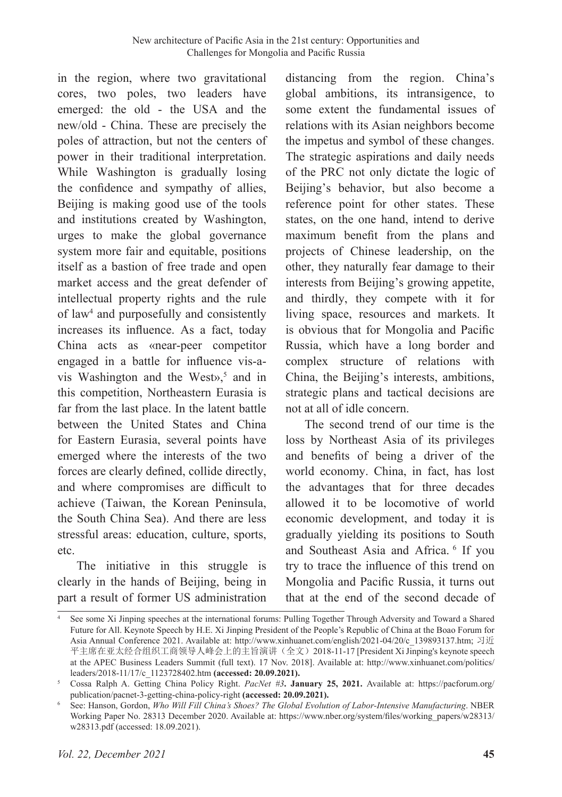in the region, where two gravitational cores, two poles, two leaders have emerged: the old - the USA and the new/old - China. These are precisely the poles of attraction, but not the centers of power in their traditional interpretation. While Washington is gradually losing the confidence and sympathy of allies, Beijing is making good use of the tools and institutions created by Washington, urges to make the global governance system more fair and equitable, positions itself as a bastion of free trade and open market access and the great defender of intellectual property rights and the rule of law4 and purposefully and consistently increases its influence. As a fact, today China acts as «near-peer competitor engaged in a battle for influence vis-avis Washington and the West»,<sup>5</sup> and in this competition, Northeastern Eurasia is far from the last place. In the latent battle between the United States and China for Eastern Eurasia, several points have emerged where the interests of the two forces are clearly defined, collide directly, and where compromises are difficult to achieve (Taiwan, the Korean Peninsula, the South China Sea). And there are less stressful areas: education, culture, sports, etc.

The initiative in this struggle is clearly in the hands of Beijing, being in part a result of former US administration distancing from the region. China's global ambitions, its intransigence, to some extent the fundamental issues of relations with its Asian neighbors become the impetus and symbol of these changes. The strategic aspirations and daily needs of the PRC not only dictate the logic of Beijing's behavior, but also become a reference point for other states. These states, on the one hand, intend to derive maximum benefit from the plans and projects of Chinese leadership, on the other, they naturally fear damage to their interests from Beijing's growing appetite, and thirdly, they compete with it for living space, resources and markets. It is obvious that for Mongolia and Pacific Russia, which have a long border and complex structure of relations with China, the Beijing's interests, ambitions, strategic plans and tactical decisions are not at all of idle concern.

The second trend of our time is the loss by Northeast Asia of its privileges and benefits of being a driver of the world economy. China, in fact, has lost the advantages that for three decades allowed it to be locomotive of world economic development, and today it is gradually yielding its positions to South and Southeast Asia and Africa. <sup>6</sup> If you try to trace the influence of this trend on Mongolia and Pacific Russia, it turns out that at the end of the second decade of

<sup>4</sup> See some Xi Jinping speeches at the international forums: Pulling Together Through Adversity and Toward a Shared Future for All. Keynote Speech by H.E. Xi Jinping President of the People's Republic of China at the Boao Forum for Asia Annual Conference 2021. Available at: http://www.xinhuanet.com/english/2021-04/20/c\_139893137.htm; 习近 平主席在亚太经合组织工商领导人峰会上的主旨演讲(全文)2018-11-17 [President Xi Jinping's keynote speech at the APEC Business Leaders Summit (full text). 17 Nov. 2018]. Available at: http://www.xinhuanet.com/politics/ leaders/2018-11/17/c\_1123728402.htm **(accessed: 20.09.2021).**

<sup>5</sup> Cossa Ralph A. Getting China Policy Right. *PacNet #3***. January 25, 2021.** Available at: https://pacforum.org/ publication/pacnet-3-getting-china-policy-right **(accessed: 20.09.2021).**

<sup>6</sup> See: Hanson, Gordon, *Who Will Fill China's Shoes? The Global Evolution of Labor-Intensive Manufacturing*. NBER Working Paper No. 28313 December 2020. Available at: https://www.nber.org/system/files/working\_papers/w28313/ w28313.pdf (accessed: 18.09.2021).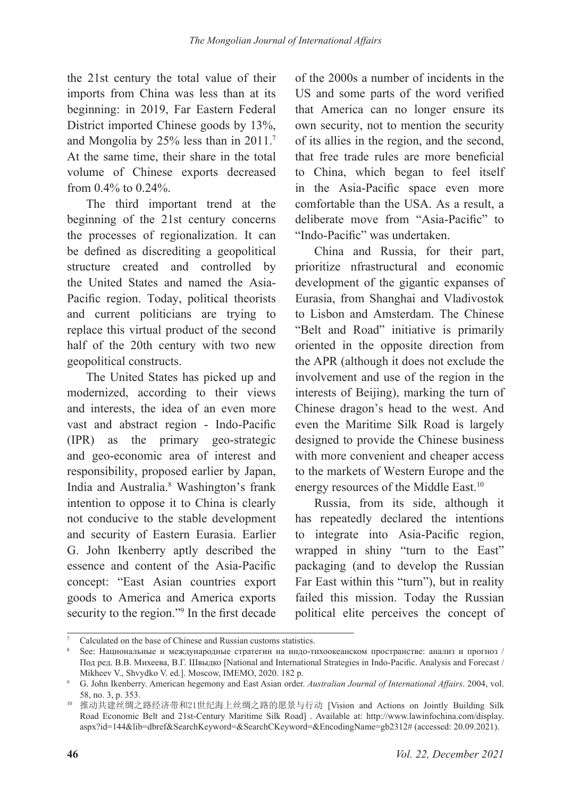the 21st century the total value of their imports from China was less than at its beginning: in 2019, Far Eastern Federal District imported Chinese goods by 13%, and Mongolia by 25% less than in 2011.<sup>7</sup> At the same time, their share in the total volume of Chinese exports decreased from 0.4% to 0.24%.

The third important trend at the beginning of the 21st century concerns the processes of regionalization. It can be defined as discrediting a geopolitical structure created and controlled by the United States and named the Asia-Pacific region. Today, political theorists and current politicians are trying to replace this virtual product of the second half of the 20th century with two new geopolitical constructs.

The United States has picked up and modernized, according to their views and interests, the idea of an even more vast and abstract region - Indo-Pacific (IPR) as the primary geo-strategic and geo-economic area of interest and responsibility, proposed earlier by Japan, India and Australia.8 Washington's frank intention to oppose it to China is clearly not conducive to the stable development and security of Eastern Eurasia. Earlier G. John Ikenberry aptly described the essence and content of the Asia-Pacific concept: "East Asian countries export goods to America and America exports security to the region."<sup>9</sup> In the first decade

of the 2000s a number of incidents in the US and some parts of the word verified that America can no longer ensure its own security, not to mention the security of its allies in the region, and the second, that free trade rules are more beneficial to China, which began to feel itself in the Asia-Pacific space even more comfortable than the USA. As a result, a deliberate move from "Asia-Pacific" to "Indo-Pacific" was undertaken.

China and Russia, for their part, prioritize nfrastructural and economic development of the gigantic expanses of Eurasia, from Shanghai and Vladivostok to Lisbon and Amsterdam. The Chinese "Belt and Road" initiative is primarily oriented in the opposite direction from the APR (although it does not exclude the involvement and use of the region in the interests of Beijing), marking the turn of Chinese dragon's head to the west. And even the Maritime Silk Road is largely designed to provide the Chinese business with more convenient and cheaper access to the markets of Western Europe and the energy resources of the Middle East.<sup>10</sup>

Russia, from its side, although it has repeatedly declared the intentions to integrate into Asia-Pacific region, wrapped in shiny "turn to the East" packaging (and to develop the Russian Far East within this "turn"), but in reality failed this mission. Today the Russian political elite perceives the concept of

<sup>7</sup> Calculated on the base of Chinese and Russian customs statistics.

<sup>8</sup> See: Национальные и международные стратегии на индо-тихоокеанском пространстве: анализ и прогноз / Под ред. В.В. Михеева, В.Г. Швыдко [National and International Strategies in Indo-Pacific. Analysis and Forecast / Mikheev V., Shvydko V. ed.]. Moscow, IMEMO, 2020. 182 p. 9 G. John Ikenberry. American hegemony and East Asian order. *Australian Journal of International Affairs*. 2004, vol.

<sup>58,</sup> no. 3, p. 353.

<sup>10</sup> 推动共建丝绸之路经济带和21世纪海上丝绸之路的愿景与行动 [Vision and Actions on Jointly Building Silk Road Economic Belt and 21st-Century Maritime Silk Road] . Available at: http://www.lawinfochina.com/display. aspx?id=144&lib=dbref&SearchKeyword=&SearchCKeyword=&EncodingName=gb2312# (accessed: 20.09.2021).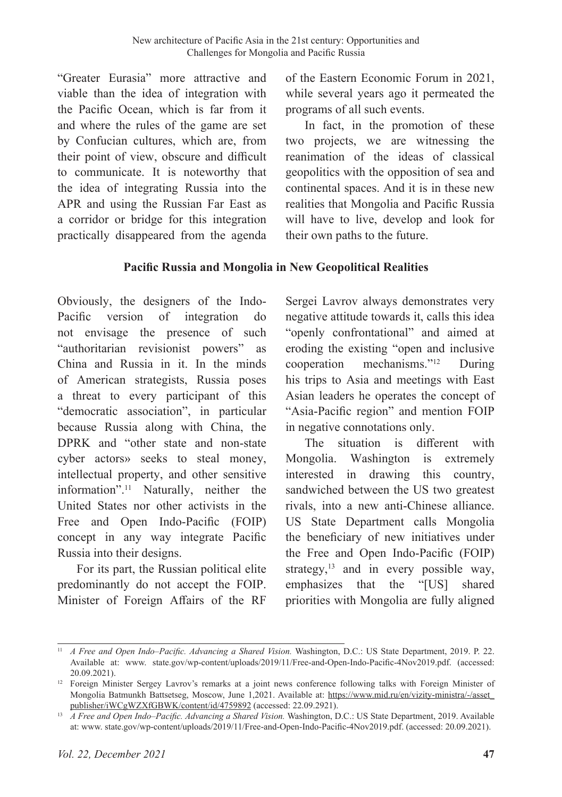"Greater Eurasia" more attractive and viable than the idea of integration with the Pacific Ocean, which is far from it and where the rules of the game are set by Confucian cultures, which are, from their point of view, obscure and difficult to communicate. It is noteworthy that the idea of integrating Russia into the APR and using the Russian Far East as a corridor or bridge for this integration practically disappeared from the agenda

of the Eastern Economic Forum in 2021, while several years ago it permeated the programs of all such events.

In fact, in the promotion of these two projects, we are witnessing the reanimation of the ideas of classical geopolitics with the opposition of sea and continental spaces. And it is in these new realities that Mongolia and Pacific Russia will have to live, develop and look for their own paths to the future.

## **Pacific Russia and Mongolia in New Geopolitical Realities**

Obviously, the designers of the Indo-Pacific version of integration do not envisage the presence of such "authoritarian revisionist powers" as China and Russia in it. In the minds of American strategists, Russia poses a threat to every participant of this "democratic association", in particular because Russia along with China, the DPRK and "other state and non-state cyber actors» seeks to steal money, intellectual property, and other sensitive information".11 Naturally, neither the United States nor other activists in the Free and Open Indo-Pacific (FOIP) concept in any way integrate Pacific Russia into their designs.

For its part, the Russian political elite predominantly do not accept the FOIP. Minister of Foreign Affairs of the RF Sergei Lavrov always demonstrates very negative attitude towards it, calls this idea "openly confrontational" and aimed at eroding the existing "open and inclusive cooperation mechanisms."12 During his trips to Asia and meetings with East Asian leaders he operates the concept of "Asia-Pacific region" and mention FOIP in negative connotations only.

The situation is different with Mongolia. Washington is extremely interested in drawing this country, sandwiched between the US two greatest rivals, into a new anti-Chinese alliance. US State Department calls Mongolia the beneficiary of new initiatives under the Free and Open Indo-Pacific (FOIP) strategy,<sup>13</sup> and in every possible way, emphasizes that the "[US] shared priorities with Mongolia are fully aligned

<sup>&</sup>lt;sup>11</sup> *A Free and Open Indo–Pacific. Advancing a Shared Vision.* Washington, D.C.: US State Department, 2019. P. 22. Available at: www. state.gov/wp-content/uploads/2019/11/Free-and-Open-Indo-Pacific-4Nov2019.pdf. (accessed: 20.09.2021).

<sup>&</sup>lt;sup>12</sup> Foreign Minister Sergey Lavrov's remarks at a joint news conference following talks with Foreign Minister of Mongolia Batmunkh Battsetseg, Moscow, June 1,2021. Available at: https://www.mid.ru/en/vizity-ministra/-/asset\_ publisher/iWCgWZXfGBWK/content/id/4759892 (accessed: 22.09.2921).

<sup>&</sup>lt;sup>13</sup> *A Free and Open Indo–Pacific. Advancing a Shared Vision.* Washington, D.C.: US State Department, 2019. Available at: www. state.gov/wp-content/uploads/2019/11/Free-and-Open-Indo-Pacific-4Nov2019.pdf. (accessed: 20.09.2021).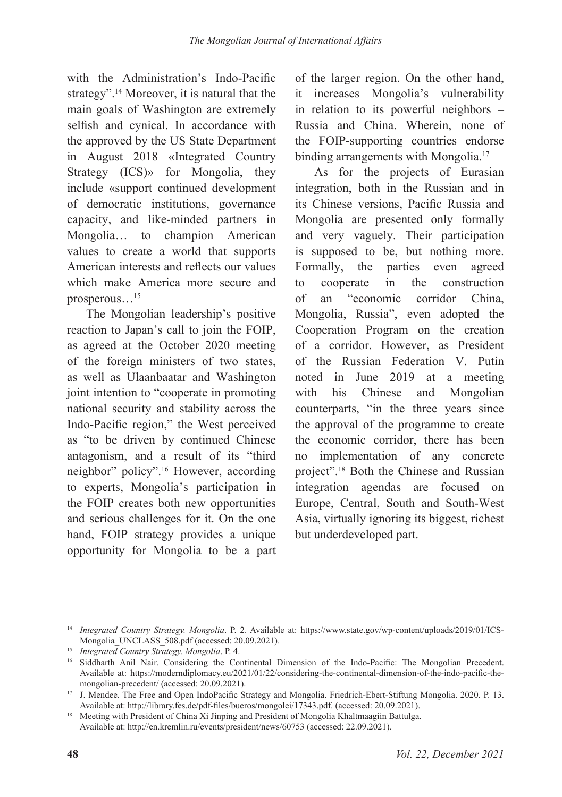with the Administration's Indo-Pacific strategy".14 Moreover, it is natural that the main goals of Washington are extremely selfish and cynical. In accordance with the approved by the US State Department in August 2018 «Integrated Country Strategy (ICS)» for Mongolia, they include «support continued development of democratic institutions, governance capacity, and like-minded partners in Mongolia… to champion American values to create a world that supports American interests and reflects our values which make America more secure and prosperous…15

The Mongolian leadership's positive reaction to Japan's call to join the FOIP, as agreed at the October 2020 meeting of the foreign ministers of two states, as well as Ulaanbaatar and Washington joint intention to "cooperate in promoting national security and stability across the Indo-Pacific region," the West perceived as "to be driven by continued Chinese antagonism, and a result of its "third neighbor" policy".16 However, according to experts, Mongolia's participation in the FOIP creates both new opportunities and serious challenges for it. On the one hand, FOIP strategy provides a unique opportunity for Mongolia to be a part

of the larger region. On the other hand, it increases Mongolia's vulnerability in relation to its powerful neighbors – Russia and China. Wherein, none of the FOIP-supporting countries endorse binding arrangements with Mongolia.<sup>17</sup>

As for the projects of Eurasian integration, both in the Russian and in its Chinese versions, Pacific Russia and Mongolia are presented only formally and very vaguely. Their participation is supposed to be, but nothing more. Formally, the parties even agreed to cooperate in the construction of an "economic corridor China, Mongolia, Russia", even adopted the Cooperation Program on the creation of a corridor. However, as President of the Russian Federation V. Putin noted in June 2019 at a meeting with his Chinese and Mongolian counterparts, "in the three years since the approval of the programme to create the economic corridor, there has been no implementation of any concrete project".<sup>18</sup> Both the Chinese and Russian integration agendas are focused on Europe, Central, South and South-West Asia, virtually ignoring its biggest, richest but underdeveloped part.

<sup>14</sup> *Integrated Country Strategy. Mongolia*. P. 2. Available at: https://www.state.gov/wp-content/uploads/2019/01/ICS-Mongolia\_UNCLASS\_508.pdf (accessed: 20.09.2021).

<sup>15</sup> *Integrated Country Strategy. Mongolia*. P. 4.

<sup>16</sup> Siddharth Anil Nair. Considering the Continental Dimension of the Indo-Pacific: The Mongolian Precedent. Available at: https://moderndiplomacy.eu/2021/01/22/considering-the-continental-dimension-of-the-indo-pacific-themongolian-precedent/ (accessed: 20.09.2021).

<sup>17</sup> J. Mendee. The Free and Open IndoPacific Strategy and Mongolia. Friedrich-Ebert-Stiftung Mongolia. 2020. P. 13. Available at: http://library.fes.de/pdf-files/bueros/mongolei/17343.pdf. (accessed: 20.09.2021).

<sup>&</sup>lt;sup>18</sup> Meeting with President of China Xi Jinping and President of Mongolia Khaltmaagiin Battulga. Available at: http://en.kremlin.ru/events/president/news/60753 (accessed: 22.09.2021).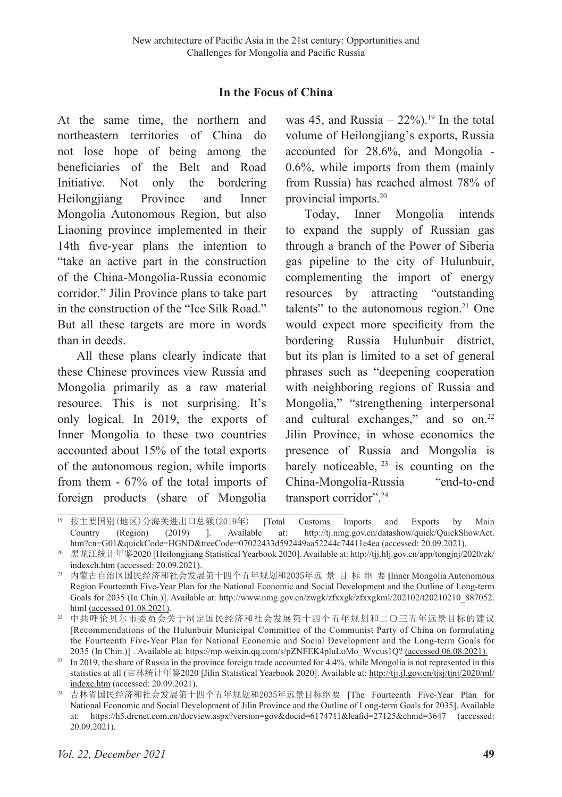#### **In the Focus of China**

At the same time, the northern and northeastern territories of China do not lose hope of being among the beneficiaries of the Belt and Road Initiative. Not only the bordering Heilongjiang Province and Inner Mongolia Autonomous Region, but also Liaoning province implemented in their 14th five-year plans the intention to "take an active part in the construction of the China-Mongolia-Russia economic corridor." Jilin Province plans to take part in the construction of the "Ice Silk Road." But all these targets are more in words than in deeds.

All these plans clearly indicate that these Chinese provinces view Russia and Mongolia primarily as a raw material resource. This is not surprising. It's only logical. In 2019, the exports of Inner Mongolia to these two countries accounted about 15% of the total exports of the autonomous region, while imports from them - 67% of the total imports of foreign products (share of Mongolia

was 45, and Russia –  $22\%$ ).<sup>19</sup> In the total volume of Heilongjiang's exports, Russia accounted for 28.6%, and Mongolia - 0.6%, while imports from them (mainly from Russia) has reached almost 78% of provincial imports.20

Today, Inner Mongolia intends to expand the supply of Russian gas through a branch of the Power of Siberia gas pipeline to the city of Hulunbuir, complementing the import of energy resources by attracting "outstanding talents" to the autonomous region. $21$  One would expect more specificity from the bordering Russia Hulunbuir district, but its plan is limited to a set of general phrases such as "deepening cooperation with neighboring regions of Russia and Mongolia," "strengthening interpersonal and cultural exchanges," and so on.<sup>22</sup> Jilin Province, in whose economics the presence of Russia and Mongolia is barely noticeable,  $23$  is counting on the China-Mongolia-Russia "end-to-end transport corridor".<sup>24</sup>

<sup>19</sup> 按主要国别(地区)分海关进出口总额(2019年) [Total Customs Imports and Exports by Main Country (Region) (2019) ]. Available at: http://tj.nmg.gov.cn/datashow/quick/QuickShowAct. htm?cn=G01&quickCode=HGND&treeCode=07022433d592449aa52244c74411e4ea (accessed: 20.09.2021).

<sup>20</sup> 黑龙江统计年鉴2020 [Heilongjiang Statistical Yearbook 2020]. Available at: http://tjj.hlj.gov.cn/app/tongjnj/2020/zk/ indexch.htm (accessed: 20.09.2021).

<sup>21</sup> 内蒙古自治区国民经济和社会发展第十四个五年规划和2035年远 景 目 标 纲 要 **[**Inner Mongolia Autonomous Region Fourteenth Five-Year Plan for the National Economic and Social Development and the Outline of Long-term Goals for 2035 (In Chin.)]. Available at: http://www.nmg.gov.cn/zwgk/zfxxgk/zfxxgkml/202102/t20210210\_887052. html (accessed 01.08.2021).

<sup>22</sup> 中共呼伦贝尔市委员会关于制定国民经济和社会发展第十四个五年规划和二〇三五年远景目标的建议 [Recommendations of the Hulunbuir Municipal Committee of the Communist Party of China on formulating the Fourteenth Five-Year Plan for National Economic and Social Development and the Long-term Goals for 2035 (In Chin.)] . Available at: https://mp.weixin.qq.com/s/pZNFEK4pluLoMo\_Wvcus1Q? (accessed 06.08.2021).

<sup>&</sup>lt;sup>23</sup> In 2019, the share of Russia in the province foreign trade accounted for 4.4%, while Mongolia is not represented in this statistics at all (吉林统计年鉴2020 [Jilin Statistical Yearbook 2020]. Available at: http://tjj.jl.gov.cn/tjsj/tjnj/2020/ml/ indexc.htm (accessed: 20.09.2021).

<sup>24</sup> 吉林省国民经济和社会发展第十四个五年规划和2035年远景目标纲要 [The Fourteenth Five-Year Plan for National Economic and Social Development of Jilin Province and the Outline of Long-term Goals for 2035]. Available at: https://h5.drcnet.com.cn/docview.aspx?version=gov&docid=6174711&leafid=27125&chnid=3647 (accessed: 20.09.2021).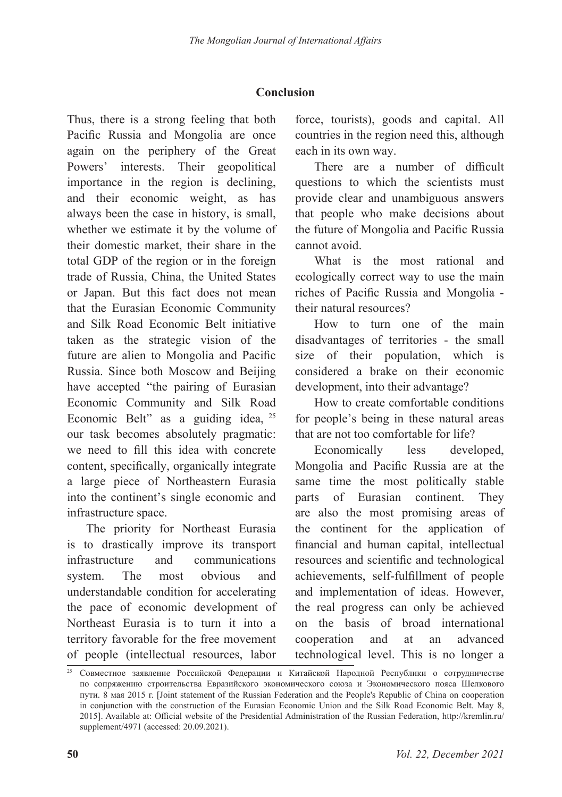## **Conclusion**

Thus, there is a strong feeling that both Pacific Russia and Mongolia are once again on the periphery of the Great Powers' interests. Their geopolitical importance in the region is declining, and their economic weight, as has always been the case in history, is small, whether we estimate it by the volume of their domestic market, their share in the total GDP of the region or in the foreign trade of Russia, China, the United States or Japan. But this fact does not mean that the Eurasian Economic Community and Silk Road Economic Belt initiative taken as the strategic vision of the future are alien to Mongolia and Pacific Russia. Since both Moscow and Beijing have accepted "the pairing of Eurasian Economic Community and Silk Road Economic Belt" as a guiding idea, <sup>25</sup> our task becomes absolutely pragmatic: we need to fill this idea with concrete content, specifically, organically integrate a large piece of Northeastern Eurasia into the continent's single economic and infrastructure space.

The priority for Northeast Eurasia is to drastically improve its transport infrastructure and communications system. The most obvious and understandable condition for accelerating the pace of economic development of Northeast Eurasia is to turn it into a territory favorable for the free movement of people (intellectual resources, labor

force, tourists), goods and capital. All countries in the region need this, although each in its own way.

There are a number of difficult questions to which the scientists must provide clear and unambiguous answers that people who make decisions about the future of Mongolia and Pacific Russia cannot avoid.

What is the most rational and ecologically correct way to use the main riches of Pacific Russia and Mongolia their natural resources?

How to turn one of the main disadvantages of territories - the small size of their population, which is considered a brake on their economic development, into their advantage?

How to create comfortable conditions for people's being in these natural areas that are not too comfortable for life?

Economically less developed, Mongolia and Pacific Russia are at the same time the most politically stable parts of Eurasian continent. They are also the most promising areas of the continent for the application of financial and human capital, intellectual resources and scientific and technological achievements, self-fulfillment of people and implementation of ideas. However, the real progress can only be achieved on the basis of broad international cooperation and at an advanced technological level. This is no longer a

<sup>25</sup> Совместное заявление Российской Федерации и Китайской Народной Республики о сотрудничестве по сопряжению строительства Евразийского экономического союза и Экономического пояса Шелкового пути. 8 мая 2015 г. [Joint statement of the Russian Federation and the People's Republic of China on cooperation in conjunction with the construction of the Eurasian Economic Union and the Silk Road Economic Belt. May 8, 2015]. Available at: Official website of the Presidential Administration of the Russian Federation, http://kremlin.ru/ supplement/4971 (accessed: 20.09.2021).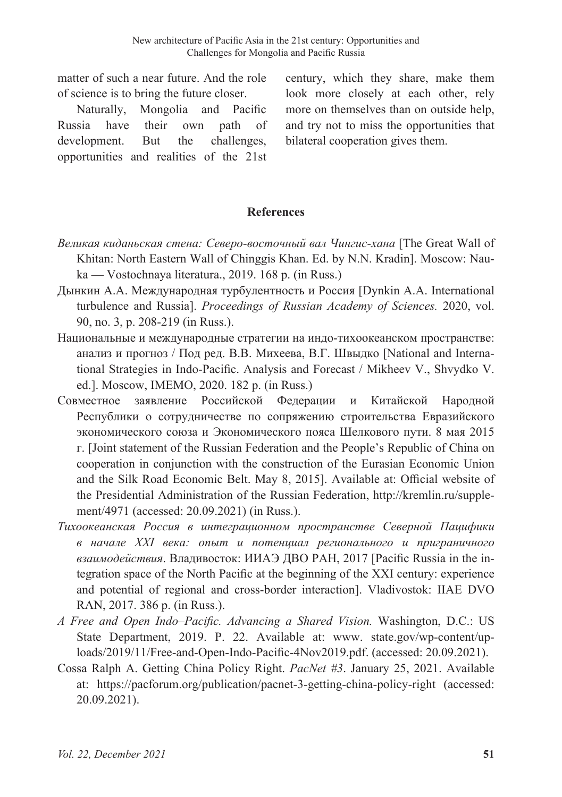matter of such a near future. And the role of science is to bring the future closer.

Naturally, Mongolia and Pacific Russia have their own path of development. But the challenges, opportunities and realities of the 21st

century, which they share, make them look more closely at each other, rely more on themselves than on outside help, and try not to miss the opportunities that bilateral cooperation gives them.

### **References**

- *Великая киданьская стена: Северо-восточный вал Чингис-хана* [The Great Wall of Khitan: North Eastern Wall of Chinggis Khan. Ed. by N.N. Kradin]. Мoscow: Nauka — Vostochnaya literatura., 2019. 168 p. (in Russ.)
- Дынкин А.А. Международная турбулентность и Россия [Dynkin A.A. International turbulence and Russia]. *Proceedings of Russian Academy of Sciences.* 2020, vol. 90, no. 3, p. 208-219 (in Russ.).
- Национальные и международные стратегии на индо-тихоокеанском пространстве: анализ и прогноз / Под ред. В.В. Михеева, В.Г. Швыдко [National and International Strategies in Indo-Pacific. Analysis and Forecast / Mikheev V., Shvydko V. ed.]. Moscow, IMEMO, 2020. 182 p. (in Russ.)
- Совместное заявление Российской Федерации и Китайской Народной Республики о сотрудничестве по сопряжению строительства Евразийского экономического союза и Экономического пояса Шелкового пути. 8 мая 2015 г. [Joint statement of the Russian Federation and the People's Republic of China on cooperation in conjunction with the construction of the Eurasian Economic Union and the Silk Road Economic Belt. May 8, 2015]. Available at: Official website of the Presidential Administration of the Russian Federation, http://kremlin.ru/supplement/4971 (accessed: 20.09.2021) (in Russ.).
- *Тихоокеанская Россия в интеграционном пространстве Северной Пацифики в начале XXI века: опыт и потенциал регионального и приграничного взаимодействия*. Владивосток: ИИАЭ ДВО РАН, 2017 [Pacific Russia in the integration space of the North Pacific at the beginning of the XXI century: experience and potential of regional and cross-border interaction]. Vladivostok: IIAE DVO RAN, 2017. 386 p. (in Russ.).
- *A Free and Open Indo–Pacific. Advancing a Shared Vision.* Washington, D.C.: US State Department, 2019. P. 22. Available at: www. state.gov/wp-content/uploads/2019/11/Free-and-Open-Indo-Pacific-4Nov2019.pdf. (accessed: 20.09.2021).
- Cossa Ralph A. Getting China Policy Right. *PacNet #3*. January 25, 2021. Available at: https://pacforum.org/publication/pacnet-3-getting-china-policy-right (accessed: 20.09.2021).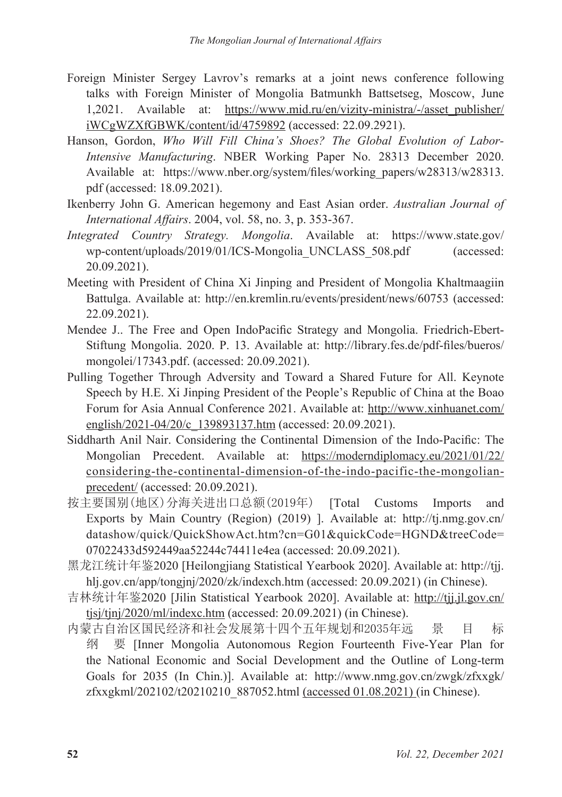- Foreign Minister Sergey Lavrov's remarks at a joint news conference following talks with Foreign Minister of Mongolia Batmunkh Battsetseg, Moscow, June 1,2021. Available at: https://www.mid.ru/en/vizity-ministra/-/asset\_publisher/ iWCgWZXfGBWK/content/id/4759892 (accessed: 22.09.2921).
- Hanson, Gordon, *Who Will Fill China's Shoes? The Global Evolution of Labor-Intensive Manufacturing*. NBER Working Paper No. 28313 December 2020. Available at: https://www.nber.org/system/files/working\_papers/w28313/w28313. pdf (accessed: 18.09.2021).
- Ikenberry John G. American hegemony and East Asian order. *Australian Journal of International Affairs*. 2004, vol. 58, no. 3, p. 353-367.
- *Integrated Country Strategy. Mongolia*. Available at: https://www.state.gov/ wp-content/uploads/2019/01/ICS-Mongolia UNCLASS 508.pdf (accessed: 20.09.2021).
- Meeting with President of China Xi Jinping and President of Mongolia Khaltmaagiin Battulga. Available at: http://en.kremlin.ru/events/president/news/60753 (accessed: 22.09.2021).
- Mendee J.. The Free and Open IndoPacific Strategy and Mongolia. Friedrich-Ebert-Stiftung Mongolia. 2020. P. 13. Available at: http://library.fes.de/pdf-files/bueros/ mongolei/17343.pdf. (accessed: 20.09.2021).
- Pulling Together Through Adversity and Toward a Shared Future for All. Keynote Speech by H.E. Xi Jinping President of the People's Republic of China at the Boao Forum for Asia Annual Conference 2021. Available at: http://www.xinhuanet.com/ english/2021-04/20/c\_139893137.htm (accessed: 20.09.2021).
- Siddharth Anil Nair. Considering the Continental Dimension of the Indo-Pacific: The Mongolian Precedent. Available at: https://moderndiplomacy.eu/2021/01/22/ considering-the-continental-dimension-of-the-indo-pacific-the-mongolianprecedent/ (accessed: 20.09.2021).
- 按主要国别(地区)分海关进出口总额(2019年) [Total Customs Imports and Exports by Main Country (Region) (2019) ]. Available at: http://tj.nmg.gov.cn/ datashow/quick/QuickShowAct.htm?cn=G01&quickCode=HGND&treeCode= 07022433d592449aa52244c74411e4ea (accessed: 20.09.2021).
- 黑龙江统计年鉴2020 [Heilongjiang Statistical Yearbook 2020]. Available at: http://tjj. hlj.gov.cn/app/tongjnj/2020/zk/indexch.htm (accessed: 20.09.2021) (in Chinese).
- 吉林统计年鉴2020 [Jilin Statistical Yearbook 2020]. Available at: http://tjj.jl.gov.cn/ tjsj/tjnj/2020/ml/indexc.htm (accessed: 20.09.2021) (in Chinese).
- 内蒙古自治区国民经济和社会发展第十四个五年规划和2035年远 景 目 标 纲 要 [Inner Mongolia Autonomous Region Fourteenth Five-Year Plan for the National Economic and Social Development and the Outline of Long-term Goals for 2035 (In Chin.)]. Available at: http://www.nmg.gov.cn/zwgk/zfxxgk/ zfxxgkml/202102/t20210210\_887052.html (accessed 01.08.2021) (in Chinese).